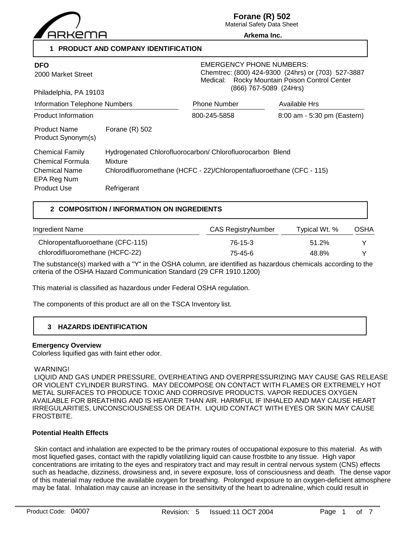

**Forane (R) 502**

Material Safety Data Sheet **Arkema Inc.**

**1 PRODUCT AND COMPANY IDENTIFICATION**

| <b>DFO</b><br>2000 Market Street<br>Philadelphia, PA 19103                                       |                                                                                                                                                              | <b>EMERGENCY PHONE NUMBERS:</b><br>Chemtrec: (800) 424-9300 (24hrs) or (703) 527-3887<br>Medical: Rocky Mountain Poison Control Center<br>(866) 767-5089 (24Hrs) |                             |
|--------------------------------------------------------------------------------------------------|--------------------------------------------------------------------------------------------------------------------------------------------------------------|------------------------------------------------------------------------------------------------------------------------------------------------------------------|-----------------------------|
| Information Telephone Numbers                                                                    |                                                                                                                                                              | <b>Phone Number</b>                                                                                                                                              | Available Hrs               |
| <b>Product Information</b>                                                                       |                                                                                                                                                              | 800-245-5858                                                                                                                                                     | 8:00 am - 5:30 pm (Eastern) |
| <b>Product Name</b><br>Product Synonym(s)                                                        | Forane $(R)$ 502                                                                                                                                             |                                                                                                                                                                  |                             |
| <b>Chemical Family</b><br>Chemical Formula<br>Chemical Name<br>EPA Reg Num<br><b>Product Use</b> | Hydrogenated Chlorofluorocarbon/ Chlorofluorocarbon Blend<br>Mixture<br>Chlorodifluoromethane (HCFC - 22)/Chloropentafluoroethane (CFC - 115)<br>Refrigerant |                                                                                                                                                                  |                             |

# **2 COMPOSITION / INFORMATION ON INGREDIENTS**

| Ingredient Name                   | <b>CAS RegistryNumber</b> | Typical Wt. % | OSHA |
|-----------------------------------|---------------------------|---------------|------|
| Chloropentafluoroethane (CFC-115) | 76-15-3                   | 51.2%         |      |
| chlorodifluoromethane (HCFC-22)   | 75-45-6                   | 48.8%         | ∨    |

The substance(s) marked with a "Y" in the OSHA column, are identified as hazardous chemicals according to the criteria of the OSHA Hazard Communication Standard (29 CFR 1910.1200)

This material is classified as hazardous under Federal OSHA regulation.

The components of this product are all on the TSCA Inventory list.

# **3 HAZARDS IDENTIFICATION**

# **Emergency Overview**

Colorless liquified gas with faint ether odor.

#### WARNING!

 LIQUID AND GAS UNDER PRESSURE, OVERHEATING AND OVERPRESSURIZING MAY CAUSE GAS RELEASE OR VIOLENT CYLINDER BURSTING. MAY DECOMPOSE ON CONTACT WITH FLAMES OR EXTREMELY HOT METAL SURFACES TO PRODUCE TOXIC AND CORROSIVE PRODUCTS. VAPOR REDUCES OXYGEN AVAILABLE FOR BREATHING AND IS HEAVIER THAN AIR. HARMFUL IF INHALED AND MAY CAUSE HEART IRREGULARITIES, UNCONSCIOUSNESS OR DEATH. LIQUID CONTACT WITH EYES OR SKIN MAY CAUSE **FROSTBITE** 

# **Potential Health Effects**

 Skin contact and inhalation are expected to be the primary routes of occupational exposure to this material. As with most liquefied gases, contact with the rapidly volatilizing liquid can cause frostbite to any tissue. High vapor concentrations are irritating to the eyes and respiratory tract and may result in central nervous system (CNS) effects such as headache, dizziness, drowsiness and, in severe exposure, loss of consciousness and death. The dense vapor of this material may reduce the available oxygen for breathing. Prolonged exposure to an oxygen-deficient atmosphere may be fatal. Inhalation may cause an increase in the sensitivity of the heart to adrenaline, which could result in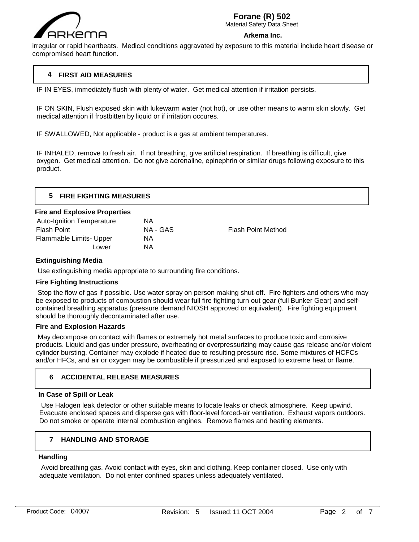

# **Forane (R) 502**

Material Safety Data Sheet

#### **Arkema Inc.**

irregular or rapid heartbeats. Medical conditions aggravated by exposure to this material include heart disease or compromised heart function.

# **4 FIRST AID MEASURES**

IF IN EYES, immediately flush with plenty of water. Get medical attention if irritation persists.

IF ON SKIN, Flush exposed skin with lukewarm water (not hot), or use other means to warm skin slowly. Get medical attention if frostbitten by liquid or if irritation occures.

IF SWALLOWED, Not applicable - product is a gas at ambient temperatures.

IF INHALED, remove to fresh air. If not breathing, give artificial respiration. If breathing is difficult, give oxygen. Get medical attention. Do not give adrenaline, epinephrin or similar drugs following exposure to this product.

| 5 FIRE FIGHTING MEASURES             |  |
|--------------------------------------|--|
| <b>Fire and Explosive Properties</b> |  |

| <b>Auto-Ignition Temperature</b> | ΝA       |                           |
|----------------------------------|----------|---------------------------|
| <b>Flash Point</b>               | NA - GAS | <b>Flash Point Method</b> |
| Flammable Limits- Upper          | ΝA       |                           |
| Lower                            | ΝA       |                           |
|                                  |          |                           |

# **Extinguishing Media**

Use extinguishing media appropriate to surrounding fire conditions.

# **Fire Fighting Instructions**

 Stop the flow of gas if possible. Use water spray on person making shut-off. Fire fighters and others who may be exposed to products of combustion should wear full fire fighting turn out gear (full Bunker Gear) and selfcontained breathing apparatus (pressure demand NIOSH approved or equivalent). Fire fighting equipment should be thoroughly decontaminated after use.

# **Fire and Explosion Hazards**

 May decompose on contact with flames or extremely hot metal surfaces to produce toxic and corrosive products. Liquid and gas under pressure, overheating or overpressurizing may cause gas release and/or violent cylinder bursting. Container may explode if heated due to resulting pressure rise. Some mixtures of HCFCs and/or HFCs, and air or oxygen may be combustible if pressurized and exposed to extreme heat or flame.

# **6 ACCIDENTAL RELEASE MEASURES**

# **In Case of Spill or Leak**

 Use Halogen leak detector or other suitable means to locate leaks or check atmosphere. Keep upwind. Evacuate enclosed spaces and disperse gas with floor-level forced-air ventilation. Exhaust vapors outdoors. Do not smoke or operate internal combustion engines. Remove flames and heating elements.

# **7 HANDLING AND STORAGE**

# **Handling**

 $\overline{a}$ 

 Avoid breathing gas. Avoid contact with eyes, skin and clothing. Keep container closed. Use only with adequate ventilation. Do not enter confined spaces unless adequately ventilated.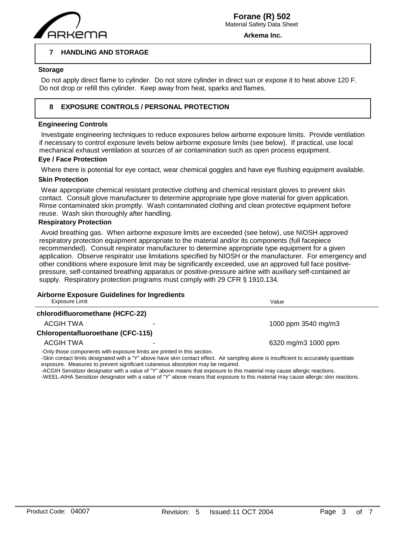

**Arkema Inc.**

#### **7 HANDLING AND STORAGE**

#### **Storage**

 $\overline{a}$ 

 Do not apply direct flame to cylinder. Do not store cylinder in direct sun or expose it to heat above 120 F. Do not drop or refill this cylinder. Keep away from heat, sparks and flames.

#### **8 EXPOSURE CONTROLS / PERSONAL PROTECTION**

# **Engineering Controls**

 Investigate engineering techniques to reduce exposures below airborne exposure limits. Provide ventilation if necessary to control exposure levels below airborne exposure limits (see below). If practical, use local mechanical exhaust ventilation at sources of air contamination such as open process equipment.

#### **Eye / Face Protection**

Where there is potential for eye contact, wear chemical goggles and have eye flushing equipment available.

#### **Skin Protection**

 Wear appropriate chemical resistant protective clothing and chemical resistant gloves to prevent skin contact. Consult glove manufacturer to determine appropriate type glove material for given application. Rinse contaminated skin promptly. Wash contaminated clothing and clean protective equipment before reuse. Wash skin thoroughly after handling.

#### **Respiratory Protection**

 Avoid breathing gas. When airborne exposure limits are exceeded (see below), use NIOSH approved respiratory protection equipment appropriate to the material and/or its components (full facepiece recommended). Consult respirator manufacturer to determine appropriate type equipment for a given application. Observe respirator use limitations specified by NIOSH or the manufacturer. For emergency and other conditions where exposure limit may be significantly exceeded, use an approved full face positivepressure, self-contained breathing apparatus or positive-pressure airline with auxiliary self-contained air supply. Respiratory protection programs must comply with 29 CFR § 1910.134.

# **Airborne Exposure Guidelines for Ingredients**

| Exposure Limit                           |                                                                          | Value                                                                                                                                   |
|------------------------------------------|--------------------------------------------------------------------------|-----------------------------------------------------------------------------------------------------------------------------------------|
| chlorodifluoromethane (HCFC-22)          |                                                                          |                                                                                                                                         |
| ACGIH TWA                                |                                                                          | 1000 ppm 3540 mg/m3                                                                                                                     |
| <b>Chloropentafluoroethane (CFC-115)</b> |                                                                          |                                                                                                                                         |
| ACGIH TWA                                |                                                                          | 6320 mg/m3 1000 ppm                                                                                                                     |
|                                          | -Only those components with exposure limits are printed in this section. | Clair contact limite decisionated with a "V" above house of contact offect. Air complies alone is inquificiant to coourately quantitate |

 $\degree$  above have skin contact effect. Air sampling alone is insufficient to accurately quantitate exposure. Measures to prevent significant cutaneous absorption may be required.

-ACGIH Sensitizer designator with a value of "Y" above means that exposure to this material may cause allergic reactions.

-WEEL-AIHA Sensitizer designator with a value of "Y" above means that exposure to this material may cause allergic skin reactions.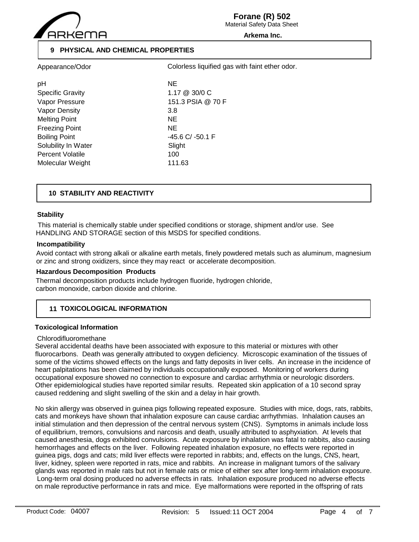

Material Safety Data Sheet

#### **Arkema Inc.**

# **9 PHYSICAL AND CHEMICAL PROPERTIES**

| Appearance/Odor               | Colorless liquified gas with faint ether odor. |  |
|-------------------------------|------------------------------------------------|--|
| рH<br><b>Specific Gravity</b> | <b>NE</b><br>$1.17 \ @ \ 30/0 \ C$             |  |
| Vapor Pressure                | 151.3 PSIA @ 70 F                              |  |
| Vapor Density                 | 3.8                                            |  |
| <b>Melting Point</b>          | <b>NE</b>                                      |  |
| <b>Freezing Point</b>         | NE.                                            |  |
| <b>Boiling Point</b>          | $-45.6$ C/ $-50.1$ F                           |  |
| Solubility In Water           | Slight                                         |  |
| <b>Percent Volatile</b>       | 100                                            |  |
| Molecular Weight              | 111.63                                         |  |
|                               |                                                |  |

# **10 STABILITY AND REACTIVITY**

# **Stability**

 This material is chemically stable under specified conditions or storage, shipment and/or use. See HANDLING AND STORAGE section of this MSDS for specified conditions.

#### **Incompatibility**

Avoid contact with strong alkali or alkaline earth metals, finely powdered metals such as aluminum, magnesium or zinc and strong oxidizers, since they may react or accelerate decomposition.

#### **Hazardous Decomposition Products**

Thermal decomposition products include hydrogen fluoride, hydrogen chloride, carbon monoxide, carbon dioxide and chlorine.

# **11 TOXICOLOGICAL INFORMATION**

# **Toxicological Information**

#### Chlorodifluoromethane

Several accidental deaths have been associated with exposure to this material or mixtures with other fluorocarbons. Death was generally attributed to oxygen deficiency. Microscopic examination of the tissues of some of the victims showed effects on the lungs and fatty deposits in liver cells. An increase in the incidence of heart palpitations has been claimed by individuals occupationally exposed. Monitoring of workers during occupational exposure showed no connection to exposure and cardiac arrhythmia or neurologic disorders. Other epidemiological studies have reported similar results. Repeated skin application of a 10 second spray caused reddening and slight swelling of the skin and a delay in hair growth.

No skin allergy was observed in guinea pigs following repeated exposure. Studies with mice, dogs, rats, rabbits, cats and monkeys have shown that inhalation exposure can cause cardiac arrhythmias. Inhalation causes an initial stimulation and then depression of the central nervous system (CNS). Symptoms in animals include loss of equilibrium, tremors, convulsions and narcosis and death, usually attributed to asphyxiation. At levels that caused anesthesia, dogs exhibited convulsions. Acute exposure by inhalation was fatal to rabbits, also causing hemorrhages and effects on the liver. Following repeated inhalation exposure, no effects were reported in guinea pigs, dogs and cats; mild liver effects were reported in rabbits; and, effects on the lungs, CNS, heart, liver, kidney, spleen were reported in rats, mice and rabbits. An increase in malignant tumors of the salivary glands was reported in male rats but not in female rats or mice of either sex after long-term inhalation exposure. Long-term oral dosing produced no adverse effects in rats. Inhalation exposure produced no adverse effects on male reproductive performance in rats and mice. Eye malformations were reported in the offspring of rats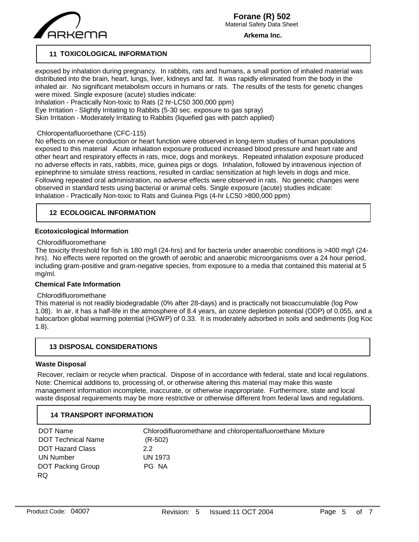

**Arkema Inc.**

# **11 TOXICOLOGICAL INFORMATION**

exposed by inhalation during pregnancy. In rabbits, rats and humans, a small portion of inhaled material was distributed into the brain, heart, lungs, liver, kidneys and fat. It was rapidly eliminated from the body in the inhaled air. No significant metabolism occurs in humans or rats. The results of the tests for genetic changes were mixed. Single exposure (acute) studies indicate:

Inhalation - Practically Non-toxic to Rats (2 hr-LC50 300,000 ppm) Eye Irritation - Slightly Irritating to Rabbits (5-30 sec. exposure to gas spray)

Skin Irritation - Moderately Irritating to Rabbits (liquefied gas with patch applied)

# Chloropentafluoroethane (CFC-115)

No effects on nerve conduction or heart function were observed in long-term studies of human populations exposed to this material Acute inhalation exposure produced increased blood pressure and heart rate and other heart and respiratory effects in rats, mice, dogs and monkeys. Repeated inhalation exposure produced no adverse effects in rats, rabbits, mice, guinea pigs or dogs. Inhalation, followed by intravenous injection of epinephrine to simulate stress reactions, resulted in cardiac sensitization at high levels in dogs and mice. Following repeated oral administration, no adverse effects were observed in rats. No genetic changes were observed in standard tests using bacterial or animal cells. Single exposure (acute) studies indicate: Inhalation - Practically Non-toxic to Rats and Guinea Pigs (4-hr LC50 >800,000 ppm)

# **12 ECOLOGICAL INFORMATION**

# **Ecotoxicological Information**

#### Chlorodifluoromethane

The toxicity threshold for fish is 180 mg/l (24-hrs) and for bacteria under anaerobic conditions is >400 mg/l (24 hrs). No effects were reported on the growth of aerobic and anaerobic microorganisms over a 24 hour period, including gram-positive and gram-negative species, from exposure to a media that contained this material at 5 mg/ml.

# **Chemical Fate Information**

# Chlorodifluoromethane

This material is not readily biodegradable (0% after 28-days) and is practically not bioaccumulable (log Pow 1.08). In air, it has a half-life in the atmosphere of 8.4 years, an ozone depletion potential (ODP) of 0.055, and a halocarbon global warming potential (HGWP) of 0.33. It is moderately adsorbed in soils and sediments (log Koc 1.8).

# **13 DISPOSAL CONSIDERATIONS**

# **Waste Disposal**

 Recover, reclaim or recycle when practical. Dispose of in accordance with federal, state and local regulations. Note: Chemical additions to, processing of, or otherwise altering this material may make this waste management information incomplete, inaccurate, or otherwise inappropriate. Furthermore, state and local waste disposal requirements may be more restrictive or otherwise different from federal laws and regulations.

# **14 TRANSPORT INFORMATION**

| DOT Name                  | Chlorodifluoromethane and chloropentafluoroethane Mixture |
|---------------------------|-----------------------------------------------------------|
| <b>DOT Technical Name</b> | $(R-502)$                                                 |
| <b>DOT Hazard Class</b>   | 2.2                                                       |
| UN Number                 | <b>UN 1973</b>                                            |
| <b>DOT Packing Group</b>  | PG NA                                                     |
| RQ.                       |                                                           |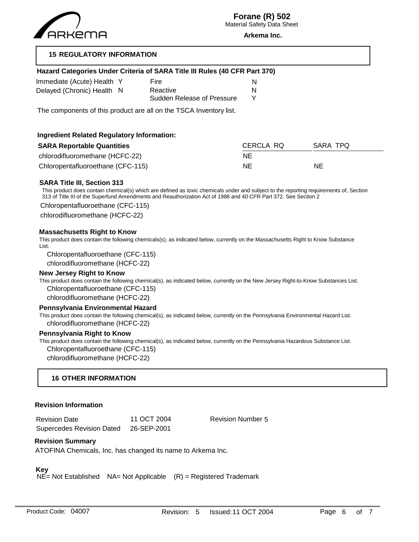

**Arkema Inc.**

# **15 REGULATORY INFORMATION**

# **Hazard Categories Under Criteria of SARA Title III Rules (40 CFR Part 370)**

| Immediate (Acute) Health Y | Fire                       |   |
|----------------------------|----------------------------|---|
| Delayed (Chronic) Health N | Reactive                   | N |
|                            | Sudden Release of Pressure |   |

The components of this product are all on the TSCA Inventory list.

# **Ingredient Related Regulatory Information:**

| <b>SARA Reportable Quantities</b> | CERCLA RQ | SARA TPQ |
|-----------------------------------|-----------|----------|
| chlorodifluoromethane (HCFC-22)   | NE        |          |
| Chloropentafluoroethane (CFC-115) | NE        | NE       |

# **SARA Title III, Section 313**

This product does contain chemical(s) which are defined as toxic chemicals under and subject to the reporting requirements of, Section 313 of Title III of the Superfund Amendments and Reauthorization Act of 1986 and 40 CFR Part 372. See Section 2

Chloropentafluoroethane (CFC-115)

chlorodifluoromethane (HCFC-22)

### **Massachusetts Right to Know**

This product does contain the following chemicals(s), as indicated below, currently on the Massachusetts Right to Know Substance List.

Chloropentafluoroethane (CFC-115) chlorodifluoromethane (HCFC-22)

#### **New Jersey Right to Know**

This product does contain the following chemical(s), as indicated below, currently on the New Jersey Right-to-Know Substances List. Chloropentafluoroethane (CFC-115)

chlorodifluoromethane (HCFC-22)

#### **Pennsylvania Environmental Hazard**

This product does contain the following chemical(s), as indicated below, currently on the Pennsylvania Environmental Hazard List. chlorodifluoromethane (HCFC-22)

#### **Pennsylvania Right to Know**

This product does contain the following chemical(s), as indicated below, currently on the Pennsylvania Hazardous Substance List.

Chloropentafluoroethane (CFC-115)

chlorodifluoromethane (HCFC-22)

# **16 OTHER INFORMATION**

#### **Revision Information**

| <b>Revision Date</b>             | 11 OCT 2004 |
|----------------------------------|-------------|
| <b>Supercedes Revision Dated</b> | 26-SEP-2001 |

Revision Number 5

# **Revision Summary**

ATOFINA Chemicals, Inc. has changed its name to Arkema Inc.

# **Key**

 $N\vec{E}$  = Not Established NA= Not Applicable  $(R)$  = Registered Trademark